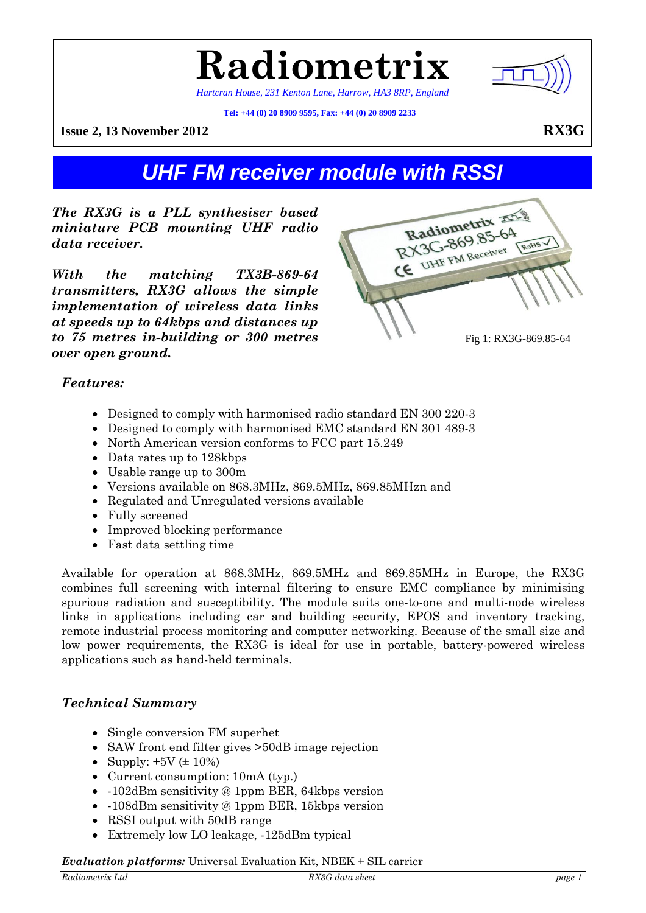

*Hartcran House, 231 Kenton Lane, Harrow, HA3 8RP, England* 

**Radiometrix**

**Tel: +44 (0) 20 8909 9595, Fax: +44 (0) 20 8909 2233**

**Issue 2, 13 November 2012 RX3G** 

# *UHF FM receiver module with RSSI*

*The RX3G is a PLL synthesiser based miniature PCB mounting UHF radio data receiver.* 

*With the matching TX3B-869-64 transmitters, RX3G allows the simple implementation of wireless data links at speeds up to 64kbps and distances up to 75 metres in-building or 300 metres over open ground.* 

Radiometrix Radiometrix<br>RX3G-869.85-64 RX3G-869.8520 ROHS V Fig 1: RX3G-869.85-64

# *Features:*

- Designed to comply with harmonised radio standard EN 300 220-3
- Designed to comply with harmonised EMC standard EN 301 489-3
- North American version conforms to FCC part 15.249
- Data rates up to 128kbps
- Usable range up to 300m
- Versions available on 868.3MHz, 869.5MHz, 869.85MHzn and
- Regulated and Unregulated versions available
- Fully screened
- Improved blocking performance
- Fast data settling time

Available for operation at 868.3MHz, 869.5MHz and 869.85MHz in Europe, the RX3G combines full screening with internal filtering to ensure EMC compliance by minimising spurious radiation and susceptibility. The module suits one-to-one and multi-node wireless links in applications including car and building security, EPOS and inventory tracking, remote industrial process monitoring and computer networking. Because of the small size and low power requirements, the RX3G is ideal for use in portable, battery-powered wireless applications such as hand-held terminals.

# *Technical Summary*

- Single conversion FM superhet
- SAW front end filter gives  $>50dB$  image rejection
- Supply:  $+5V \ (\pm 10\%)$
- Current consumption:  $10mA$  (typ.)
- -102dBm sensitivity @ 1ppm BER, 64kbps version
- -108dBm sensitivity @ 1ppm BER, 15kbps version
- RSSI output with 50dB range
- Extremely low LO leakage, -125dBm typical

#### *Evaluation platforms:* Universal Evaluation Kit, NBEK + SIL carrier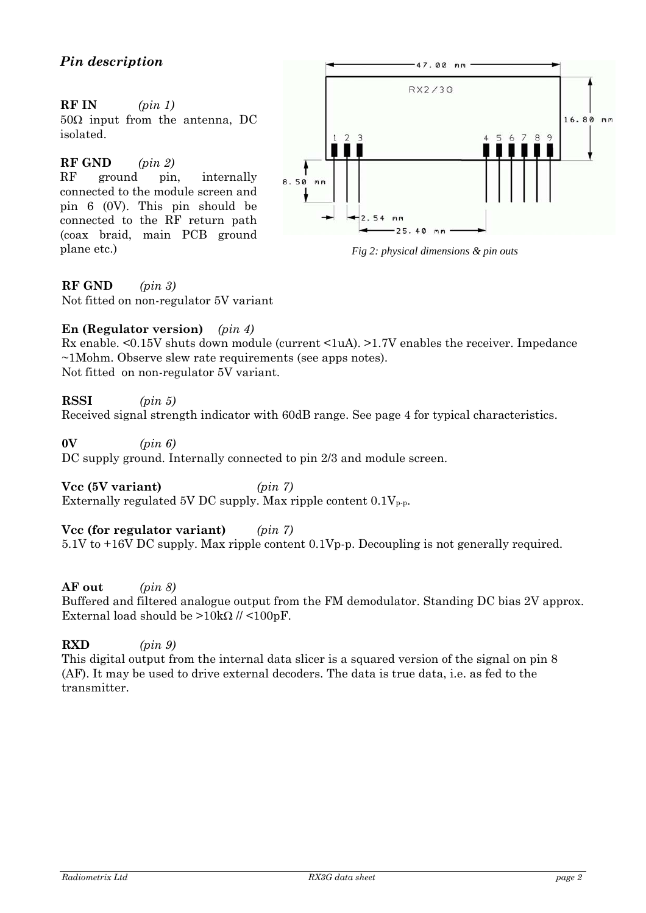# **RF IN** *(pin 1)*

 $50\Omega$  input from the antenna, DC isolated.

# **RF GND** *(pin 2)*

RF ground pin, internally connected to the module screen and pin 6 (0V). This pin should be connected to the RF return path (coax braid, main PCB ground plane etc.) *Fig 2: physical dimensions & pin outs* 



### **RF GND** *(pin 3)*

Not fitted on non-regulator 5V variant

### **En (Regulator version)** *(pin 4)*

Rx enable. <0.15V shuts down module (current <1uA). >1.7V enables the receiver. Impedance ~1Mohm. Observe slew rate requirements (see apps notes). Not fitted on non-regulator 5V variant.

**RSSI** *(pin 5)* 

Received signal strength indicator with 60dB range. See page 4 for typical characteristics.

**0V** *(pin 6)* 

DC supply ground. Internally connected to pin 2/3 and module screen.

**Vcc (5V variant)** *(pin 7)*  Externally regulated 5V DC supply. Max ripple content  $0.1V_{p.p.}$ 

**Vcc (for regulator variant)** *(pin 7)* 5.1V to +16V DC supply. Max ripple content 0.1Vp-p. Decoupling is not generally required.

## **AF out** *(pin 8)*

Buffered and filtered analogue output from the FM demodulator. Standing DC bias 2V approx. External load should be  $>10k\Omega$  // <100pF.

**RXD** *(pin 9)*  This digital output from the internal data slicer is a squared version of the signal on pin 8 (AF). It may be used to drive external decoders. The data is true data, i.e. as fed to the transmitter.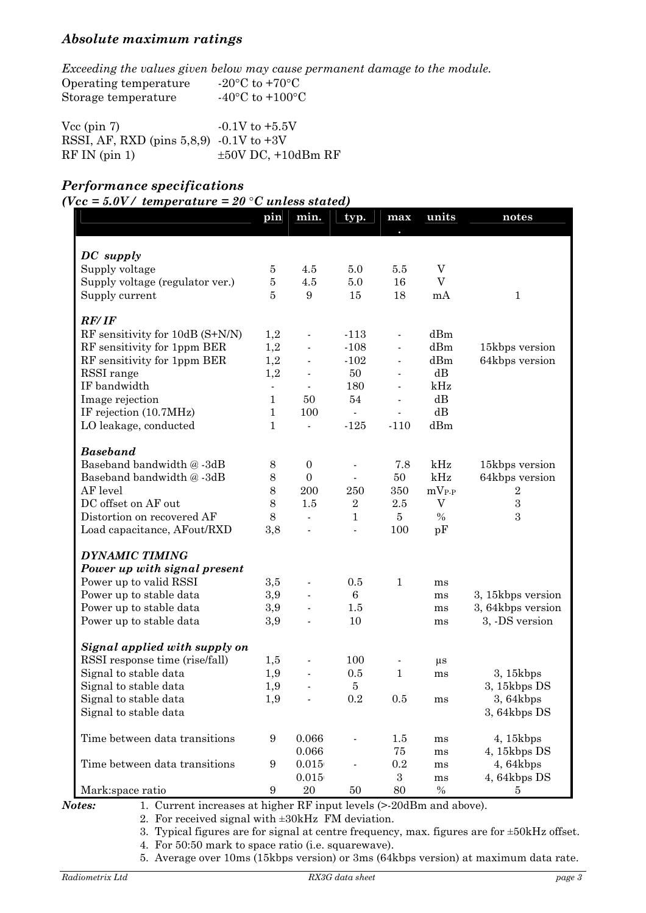# *Absolute maximum ratings*

|                                            | Exceeding the values given below may cause permanent damage to the module. |
|--------------------------------------------|----------------------------------------------------------------------------|
| Operating temperature                      | -20 $\rm{^{\circ}C}$ to +70 $\rm{^{\circ}C}$                               |
| Storage temperature                        | $-40^{\circ}$ C to $+100^{\circ}$ C                                        |
|                                            |                                                                            |
| $Vec$ (pin 7)                              | $-0.1V$ to $+5.5V$                                                         |
| RSSI, AF, RXD (pins $5,8,9$ ) -0.1V to +3V |                                                                            |
| $RF IN$ (pin 1)                            | $\pm 50V$ DC, $+10dBm$ RF                                                  |

# *Performance specifications*

 $(*Vcc* = 5.0*V*/*t* temperature = 20 °C unless stated)$ 

|                                 | pin                      | min.                     | typ.                     | max                      | units             | notes             |
|---------------------------------|--------------------------|--------------------------|--------------------------|--------------------------|-------------------|-------------------|
|                                 |                          |                          |                          |                          |                   |                   |
| DC supply                       |                          |                          |                          |                          |                   |                   |
| Supply voltage                  | 5                        | 4.5                      | 5.0                      | 5.5                      | V                 |                   |
| Supply voltage (regulator ver.) | $\bf 5$                  | 4.5                      | $5.0\,$                  | 16                       | V                 |                   |
| Supply current                  | $\overline{5}$           | 9                        | 15                       | 18                       | mA                | $\mathbf{1}$      |
| <b>RF/IF</b>                    |                          |                          |                          |                          |                   |                   |
| RF sensitivity for 10dB (S+N/N) | 1,2                      | $\overline{\phantom{a}}$ | $-113$                   | $\overline{\phantom{a}}$ | dBm               |                   |
| RF sensitivity for 1ppm BER     | 1,2                      | $\blacksquare$           | $-108$                   | $\overline{\phantom{a}}$ | dBm               | 15kbps version    |
| RF sensitivity for 1ppm BER     | 1,2                      | $\blacksquare$           | $-102$                   | $\overline{\phantom{a}}$ | dBm               | 64kbps version    |
| RSSI range                      | 1,2                      |                          | 50                       |                          | $dB$              |                   |
| IF bandwidth                    | $\overline{\phantom{a}}$ | $\blacksquare$           | 180                      |                          | kHz               |                   |
| Image rejection                 | $\mathbf 1$              | 50                       | 54                       |                          | $dB$              |                   |
| IF rejection (10.7MHz)          | $\mathbf 1$              | 100                      | $\mathbb{Z}^2$           |                          | dB                |                   |
| LO leakage, conducted           | $\mathbf 1$              | $\overline{a}$           | $-125$                   | $-110$                   | dBm               |                   |
| <b>Baseband</b>                 |                          |                          |                          |                          |                   |                   |
| Baseband bandwidth @-3dB        | 8                        | $\overline{0}$           |                          | 7.8                      | kHz               | 15kbps version    |
| Baseband bandwidth @-3dB        | $8\,$                    | $\overline{0}$           |                          | 50                       | kHz               | 64kbps version    |
| AF level                        | 8                        | 200                      | 250                      | 350                      | $mV_{P\text{-}P}$ | $\,2$             |
| DC offset on AF out             | 8                        | 1.5                      | $\sqrt{2}$               | $2.5\,$                  | $\mathbf V$       | $\,3$             |
| Distortion on recovered AF      | 8                        | $\overline{\phantom{a}}$ | $\mathbf{1}$             | $\overline{5}$           | $\%$              | 3                 |
| Load capacitance, AFout/RXD     | 3,8                      |                          | $\overline{\phantom{a}}$ | 100                      | pF                |                   |
| <b>DYNAMIC TIMING</b>           |                          |                          |                          |                          |                   |                   |
| Power up with signal present    |                          |                          |                          |                          |                   |                   |
| Power up to valid RSSI          | 3,5                      |                          | 0.5                      | $\mathbf{1}$             | ms                |                   |
| Power up to stable data         | 3,9                      |                          | $\,6\,$                  |                          | ms                | 3, 15kbps version |
| Power up to stable data         | 3,9                      |                          | $1.5\,$                  |                          | ms                | 3, 64kbps version |
| Power up to stable data         | 3,9                      |                          | 10                       |                          | ms                | 3, -DS version    |
| Signal applied with supply on   |                          |                          |                          |                          |                   |                   |
| RSSI response time (rise/fall)  | 1,5                      |                          | 100                      |                          | $\mu s$           |                   |
| Signal to stable data           | 1,9                      |                          | 0.5                      | $\mathbf{1}$             | ms                | 3, 15kbps         |
| Signal to stable data           | 1,9                      |                          | $\bf 5$                  |                          |                   | 3, 15kbps DS      |
| Signal to stable data           | 1,9                      |                          | 0.2                      | 0.5                      | ms                | 3,64kbps          |
| Signal to stable data           |                          |                          |                          |                          |                   | 3,64kbps DS       |
| Time between data transitions   | $\boldsymbol{9}$         | 0.066                    |                          | 1.5                      | ms                | 4, 15kbps         |
|                                 |                          | 0.066                    |                          | 75                       | ms                | 4, 15kbps DS      |
| Time between data transitions   | $\boldsymbol{9}$         | 0.015                    |                          | $\rm 0.2$                | ms                | 4,64kbps          |
|                                 |                          | 0.015                    |                          | $\boldsymbol{3}$         | ms                | 4, 64kbps DS      |
| Mark:space ratio                | $\boldsymbol{9}$         | $20\,$                   | 50                       | 80                       | $\%$              | 5                 |

*Notes:* 1. Current increases at higher RF input levels (>-20dBm and above).

2. For received signal with ±30kHz FM deviation.

3. Typical figures are for signal at centre frequency, max. figures are for ±50kHz offset.

4. For 50:50 mark to space ratio (i.e. squarewave).

5. Average over 10ms (15kbps version) or 3ms (64kbps version) at maximum data rate.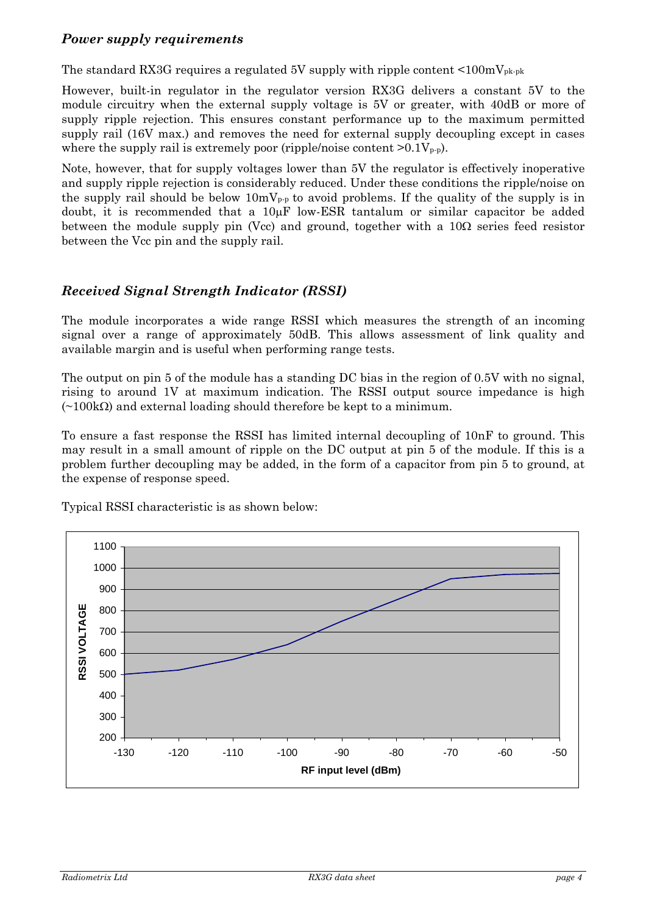## *Power supply requirements*

The standard RX3G requires a regulated 5V supply with ripple content  $\leq 100 \text{mV}_{\text{pk-pk}}$ 

However, built-in regulator in the regulator version RX3G delivers a constant 5V to the module circuitry when the external supply voltage is 5V or greater, with 40dB or more of supply ripple rejection. This ensures constant performance up to the maximum permitted supply rail (16V max.) and removes the need for external supply decoupling except in cases where the supply rail is extremely poor (ripple/noise content  $>0.1V_{p-p}$ ).

Note, however, that for supply voltages lower than 5V the regulator is effectively inoperative and supply ripple rejection is considerably reduced. Under these conditions the ripple/noise on the supply rail should be below  $10mV_{p-p}$  to avoid problems. If the quality of the supply is in doubt, it is recommended that a  $10\mu$ F low-ESR tantalum or similar capacitor be added between the module supply pin (Vcc) and ground, together with a  $10\Omega$  series feed resistor between the Vcc pin and the supply rail.

# *Received Signal Strength Indicator (RSSI)*

The module incorporates a wide range RSSI which measures the strength of an incoming signal over a range of approximately 50dB. This allows assessment of link quality and available margin and is useful when performing range tests.

The output on pin 5 of the module has a standing DC bias in the region of 0.5V with no signal, rising to around 1V at maximum indication. The RSSI output source impedance is high  $(\sim 100 \text{k}\Omega)$  and external loading should therefore be kept to a minimum.

To ensure a fast response the RSSI has limited internal decoupling of 10nF to ground. This may result in a small amount of ripple on the DC output at pin 5 of the module. If this is a problem further decoupling may be added, in the form of a capacitor from pin 5 to ground, at the expense of response speed.



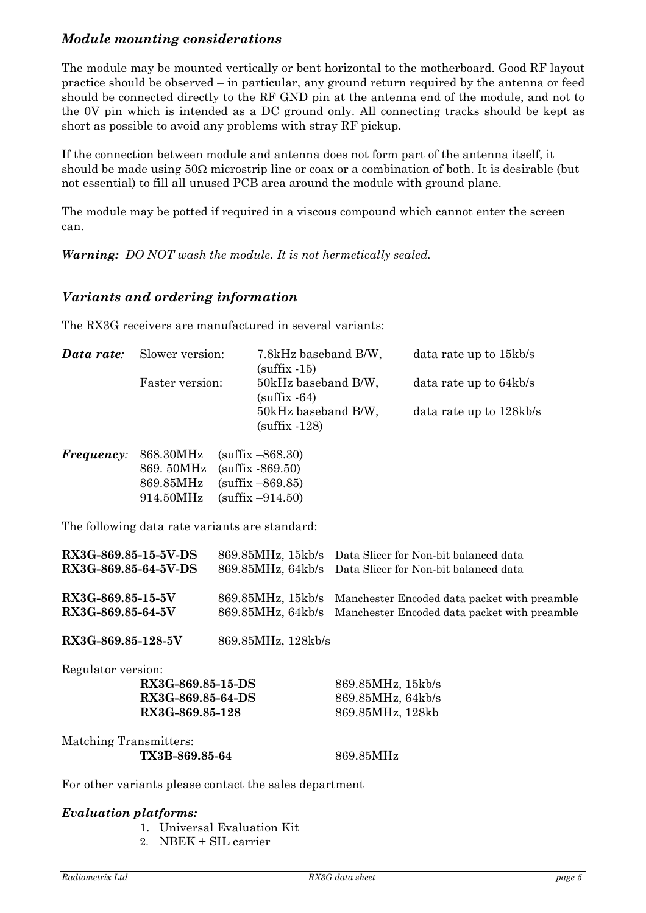# *Module mounting considerations*

The module may be mounted vertically or bent horizontal to the motherboard. Good RF layout practice should be observed – in particular, any ground return required by the antenna or feed should be connected directly to the RF GND pin at the antenna end of the module, and not to the 0V pin which is intended as a DC ground only. All connecting tracks should be kept as short as possible to avoid any problems with stray RF pickup.

If the connection between module and antenna does not form part of the antenna itself, it should be made using  $50\Omega$  microstrip line or coax or a combination of both. It is desirable (but not essential) to fill all unused PCB area around the module with ground plane.

The module may be potted if required in a viscous compound which cannot enter the screen can.

*Warning: DO NOT wash the module. It is not hermetically sealed.*

## *Variants and ordering information*

The RX3G receivers are manufactured in several variants:

| Slower version:<br>Data rate:<br>Faster version: |                                                           |                                                                                                                                                                                                                                | 7.8kHz baseband B/W,<br>$(sufficient x - 15)$<br>50kHz baseband B/W,<br>$(sufficient x - 64)$ |                                                                                              | data rate up to 15kb/s<br>data rate up to 64kb/s |  |  |
|--------------------------------------------------|-----------------------------------------------------------|--------------------------------------------------------------------------------------------------------------------------------------------------------------------------------------------------------------------------------|-----------------------------------------------------------------------------------------------|----------------------------------------------------------------------------------------------|--------------------------------------------------|--|--|
|                                                  |                                                           |                                                                                                                                                                                                                                |                                                                                               |                                                                                              |                                                  |  |  |
|                                                  |                                                           |                                                                                                                                                                                                                                | 50kHz baseband B/W,<br>(sufficient 128)                                                       |                                                                                              | data rate up to 128kb/s                          |  |  |
| <i>Frequency:</i>                                | 868.30MHz<br>869.50MHz<br>869.85MHz<br>914.50MHz          |                                                                                                                                                                                                                                | $(suffix - 868.30)$<br>(sufficient 869.50)<br>$(sufficient - 869.85)$<br>$(suffix -914.50)$   |                                                                                              |                                                  |  |  |
|                                                  | The following data rate variants are standard:            |                                                                                                                                                                                                                                |                                                                                               |                                                                                              |                                                  |  |  |
| RX3G-869.85-15-5V-DS<br>RX3G-869.85-64-5V-DS     |                                                           |                                                                                                                                                                                                                                | 869.85MHz, 15kb/s<br>869.85MHz, 64kb/s                                                        | Data Slicer for Non-bit balanced data<br>Data Slicer for Non-bit balanced data               |                                                  |  |  |
| RX3G-869.85-15-5V<br>RX3G-869.85-64-5V           |                                                           |                                                                                                                                                                                                                                | 869.85MHz, 15kb/s<br>869.85MHz, 64kb/s                                                        | Manchester Encoded data packet with preamble<br>Manchester Encoded data packet with preamble |                                                  |  |  |
| RX3G-869.85-128-5V                               |                                                           |                                                                                                                                                                                                                                | 869.85MHz, 128kb/s                                                                            |                                                                                              |                                                  |  |  |
| Regulator version:                               | RX3G-869.85-15-DS<br>RX3G-869.85-64-DS<br>RX3G-869.85-128 |                                                                                                                                                                                                                                |                                                                                               | 869.85MHz, 15kb/s<br>869.85MHz, 64kb/s<br>869.85MHz, 128kb                                   |                                                  |  |  |
| Matching Transmitters:                           | TX3B-869.85-64                                            |                                                                                                                                                                                                                                |                                                                                               | 869.85MHz                                                                                    |                                                  |  |  |
|                                                  |                                                           | and the contract of the contract of the contract of the contract of the contract of the contract of the contract of the contract of the contract of the contract of the contract of the contract of the contract of the contra |                                                                                               |                                                                                              |                                                  |  |  |

For other variants please contact the sales department

#### *Evaluation platforms:*

- 1. Universal Evaluation Kit
- 2. NBEK + SIL carrier